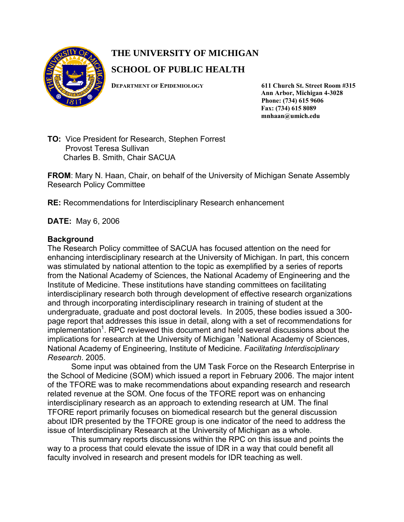

## **THE UNIVERSITY OF MICHIGAN**

## **SCHOOL OF PUBLIC HEALTH**

**DEPARTMENT OF EPIDEMIOLOGY 611 Church St. Street Room #315**

 **Ann Arbor, Michigan 4-3028 Phone: (734) 615 9606 Fax: (734) 615 8089 mnhaan@umich.edu** 

**TO:** Vice President for Research, Stephen Forrest Provost Teresa Sullivan Charles B. Smith, Chair SACUA

**FROM**: Mary N. Haan, Chair, on behalf of the University of Michigan Senate Assembly Research Policy Committee

**RE:** Recommendations for Interdisciplinary Research enhancement

**DATE:** May 6, 2006

## **Background**

The Research Policy committee of SACUA has focused attention on the need for enhancing interdisciplinary research at the University of Michigan. In part, this concern was stimulated by national attention to the topic as exemplified by a series of reports from the National Academy of Sciences, the National Academy of Engineering and the Institute of Medicine. These institutions have standing committees on facilitating interdisciplinary research both through development of effective research organizations and through incorporating interdisciplinary research in training of student at the undergraduate, graduate and post doctoral levels. In 2005, these bodies issued a 300 page report that addresses this issue in detail, along with a set of recommendations for implementation<sup>1</sup>. RPC reviewed this document and held several discussions about the implications for research at the University of Michigan <sup>1</sup>National Academy of Sciences, National Academy of Engineering, Institute of Medicine. *Facilitating Interdisciplinary Research*. 2005.

Some input was obtained from the UM Task Force on the Research Enterprise in the School of Medicine (SOM) which issued a report in February 2006. The major intent of the TFORE was to make recommendations about expanding research and research related revenue at the SOM. One focus of the TFORE report was on enhancing interdisciplinary research as an approach to extending research at UM. The final TFORE report primarily focuses on biomedical research but the general discussion about IDR presented by the TFORE group is one indicator of the need to address the issue of Interdisciplinary Research at the University of Michigan as a whole.

This summary reports discussions within the RPC on this issue and points the way to a process that could elevate the issue of IDR in a way that could benefit all faculty involved in research and present models for IDR teaching as well.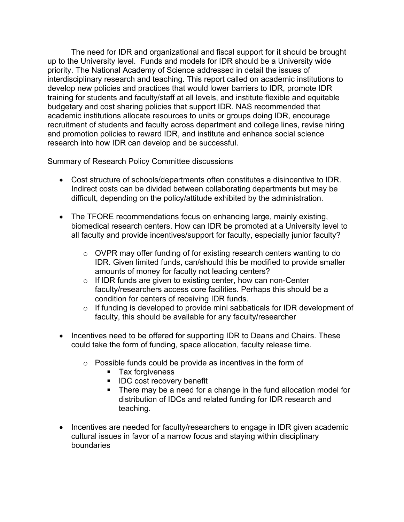The need for IDR and organizational and fiscal support for it should be brought up to the University level. Funds and models for IDR should be a University wide priority. The National Academy of Science addressed in detail the issues of interdisciplinary research and teaching. This report called on academic institutions to develop new policies and practices that would lower barriers to IDR, promote IDR training for students and faculty/staff at all levels, and institute flexible and equitable budgetary and cost sharing policies that support IDR. NAS recommended that academic institutions allocate resources to units or groups doing IDR, encourage recruitment of students and faculty across department and college lines, revise hiring and promotion policies to reward IDR, and institute and enhance social science research into how IDR can develop and be successful.

Summary of Research Policy Committee discussions

- Cost structure of schools/departments often constitutes a disincentive to IDR. Indirect costs can be divided between collaborating departments but may be difficult, depending on the policy/attitude exhibited by the administration.
- The TFORE recommendations focus on enhancing large, mainly existing, biomedical research centers. How can IDR be promoted at a University level to all faculty and provide incentives/support for faculty, especially junior faculty?
	- o OVPR may offer funding of for existing research centers wanting to do IDR. Given limited funds, can/should this be modified to provide smaller amounts of money for faculty not leading centers?
	- o If IDR funds are given to existing center, how can non-Center faculty/researchers access core facilities. Perhaps this should be a condition for centers of receiving IDR funds.
	- o If funding is developed to provide mini sabbaticals for IDR development of faculty, this should be available for any faculty/researcher
- Incentives need to be offered for supporting IDR to Deans and Chairs. These could take the form of funding, space allocation, faculty release time.
	- $\circ$  Possible funds could be provide as incentives in the form of
		- **Tax forgiveness**
		- **IDC cost recovery benefit**
		- There may be a need for a change in the fund allocation model for distribution of IDCs and related funding for IDR research and teaching.
- Incentives are needed for faculty/researchers to engage in IDR given academic cultural issues in favor of a narrow focus and staying within disciplinary boundaries